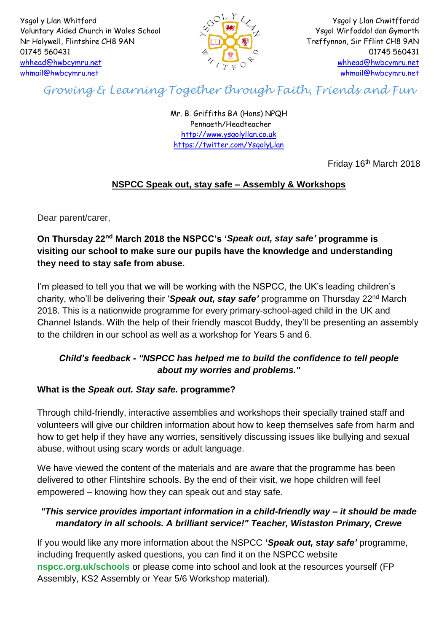Ysgol y Llan Whitford Voluntary Aided Church in Wales School Nr Holywell, Flintshire CH8 9AN 01745 560431 [whhead@hwbcymru.net](mailto:whhead@hwbcymru.net) [whmail@hwbcymru.net](mailto:whmail@hwbcymru.net)



Ysgol y Llan Chwitffordd Ysgol Wirfoddol dan Gymorth Treffynnon, Sir Fflint CH8 9AN 01745 560431 [whhead@hwbcymru.net](mailto:whhead@hwbcymru.net) [whmail@hwbcymru.net](mailto:whmail@hwbcymru.net)

*Growing & Learning Together through Faith, Friends and Fun*

Mr. B. Griffiths BA (Hons) NPQH Pennaeth/Headteacher [http://www.ysgolyllan.co.uk](http://www.ysgolyllan.co.uk/) <https://twitter.com/YsgolyLlan>

Friday 16th March 2018

# **NSPCC Speak out, stay safe – Assembly & Workshops**

Dear parent/carer,

# **On Thursday 22nd March 2018 the NSPCC's '***Speak out, stay safe'* **programme is visiting our school to make sure our pupils have the knowledge and understanding they need to stay safe from abuse.**

I'm pleased to tell you that we will be working with the NSPCC, the UK's leading children's charity, who'll be delivering their '*Speak out, stay safe'* programme on Thursday 22nd March 2018. This is a nationwide programme for every primary-school-aged child in the UK and Channel Islands. With the help of their friendly mascot Buddy, they'll be presenting an assembly to the children in our school as well as a workshop for Years 5 and 6.

## *Child's feedback - "NSPCC has helped me to build the confidence to tell people about my worries and problems."*

#### **What is the** *Speak out. Stay safe.* **programme?**

Through child-friendly, interactive assemblies and workshops their specially trained staff and volunteers will give our children information about how to keep themselves safe from harm and how to get help if they have any worries, sensitively discussing issues like bullying and sexual abuse, without using scary words or adult language.

We have viewed the content of the materials and are aware that the programme has been delivered to other Flintshire schools. By the end of their visit, we hope children will feel empowered – knowing how they can speak out and stay safe.

## *"This service provides important information in a child-friendly way – it should be made mandatory in all schools. A brilliant service!" Teacher, Wistaston Primary, Crewe*

If you would like any more information about the NSPCC **'***Speak out, stay safe'* programme, including frequently asked questions, you can find it on the NSPCC website **nspcc.org.uk/schools** or please come into school and look at the resources yourself (FP Assembly, KS2 Assembly or Year 5/6 Workshop material).